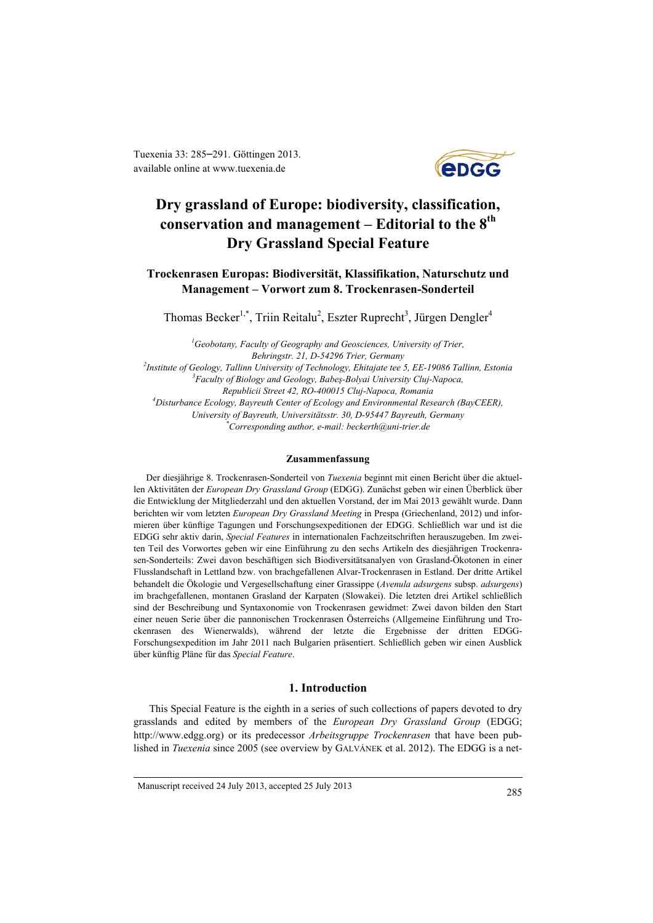Tuexenia 33: 285–291. Göttingen 2013. available online at [www.tuexenia.de](http://www.tuexenia.de/)



# **Dry grassland of Europe: biodiversity, classification, conservation and management – Editorial to the 8th Dry Grassland Special Feature**

## **Trockenrasen Europas: Biodiversität, Klassifikation, Naturschutz und Management – Vorwort zum 8. Trockenrasen-Sonderteil**

Thomas Becker<sup>1,\*</sup>, Triin Reitalu<sup>2</sup>, Eszter Ruprecht<sup>3</sup>, Jürgen Dengler<sup>4</sup>

*1 Geobotany, Faculty of Geography and Geosciences, University of Trier, Behringstr. 21, D-54296 Trier, Germany 2 Institute of Geology, Tallinn University of Technology, Ehitajate tee 5, EE-19086 Tallinn, Estonia 3 Faculty of Biology and Geology, Babeş-Bolyai University Cluj-Napoca, Republicii Street 42, RO-400015 Cluj-Napoca, Romania 4 Disturbance Ecology, Bayreuth Center of Ecology and Environmental Research (BayCEER), University of Bayreuth, Universitätsstr. 30, D-95447 Bayreuth, Germany \* Corresponding author, e-mail: [beckerth@uni-trier.de](mailto:beckerth@uni-trier.de)*

#### **Zusammenfassung**

Der diesjährige 8. Trockenrasen-Sonderteil von *Tuexenia* beginnt mit einen Bericht über die aktuellen Aktivitäten der *European Dry Grassland Group* (EDGG). Zunächst geben wir einen Überblick über die Entwicklung der Mitgliederzahl und den aktuellen Vorstand, der im Mai 2013 gewählt wurde. Dann berichten wir vom letzten *European Dry Grassland Meeting* in Prespa (Griechenland, 2012) und informieren über künftige Tagungen und Forschungsexpeditionen der EDGG. Schließlich war und ist die EDGG sehr aktiv darin, *Special Features* in internationalen Fachzeitschriften herauszugeben. Im zweiten Teil des Vorwortes geben wir eine Einführung zu den sechs Artikeln des diesjährigen Trockenrasen-Sonderteils: Zwei davon beschäftigen sich Biodiversitätsanalyen von Grasland-Ökotonen in einer Flusslandschaft in Lettland bzw. von brachgefallenen Alvar-Trockenrasen in Estland. Der dritte Artikel behandelt die Ökologie und Vergesellschaftung einer Grassippe (*Avenula adsurgens* subsp. *adsurgens*) im brachgefallenen, montanen Grasland der Karpaten (Slowakei). Die letzten drei Artikel schließlich sind der Beschreibung und Syntaxonomie von Trockenrasen gewidmet: Zwei davon bilden den Start einer neuen Serie über die pannonischen Trockenrasen Österreichs (Allgemeine Einführung und Trockenrasen des Wienerwalds), während der letzte die Ergebnisse der dritten EDGG-Forschungsexpedition im Jahr 2011 nach Bulgarien präsentiert. Schließlich geben wir einen Ausblick über künftig Pläne für das *Special Feature*.

## **1. Introduction**

This Special Feature is the eighth in a series of such collections of papers devoted to dry grasslands and edited by members of the *European Dry Grassland Group* (EDGG; [http://www.edgg.org\)](http://www.edgg.org/) or its predecessor *Arbeitsgruppe Trockenrasen* that have been published in *Tuexenia* since 2005 (see overview by GALVÁNEK et al. 2012). The EDGG is a net-

Manuscript received 24 July 2013, accepted 25 July 2013 <sup>285</sup>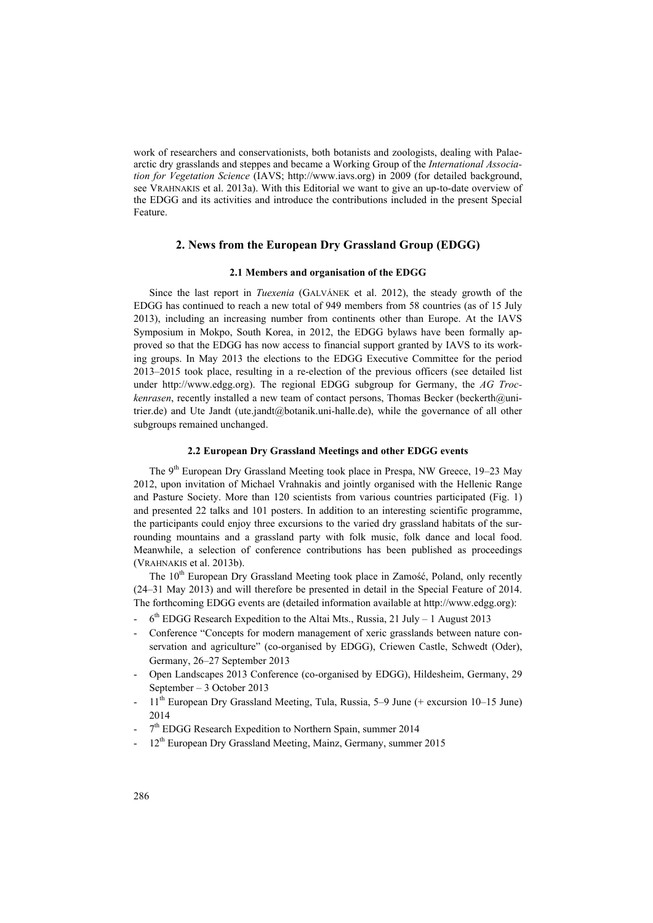work of researchers and conservationists, both botanists and zoologists, dealing with Palaearctic dry grasslands and steppes and became a Working Group of the *International Association for Vegetation Science* (IAVS; [http://www.iavs.org\)](http://www.iavs.org/) in 2009 (for detailed background, see VRAHNAKIS et al. 2013a). With this Editorial we want to give an up-to-date overview of the EDGG and its activities and introduce the contributions included in the present Special Feature.

## **2. News from the European Dry Grassland Group (EDGG)**

#### **2.1 Members and organisation of the EDGG**

Since the last report in *Tuexenia* (GALVÁNEK et al. 2012), the steady growth of the EDGG has continued to reach a new total of 949 members from 58 countries (as of 15 July 2013), including an increasing number from continents other than Europe. At the IAVS Symposium in Mokpo, South Korea, in 2012, the EDGG bylaws have been formally approved so that the EDGG has now access to financial support granted by IAVS to its working groups. In May 2013 the elections to the EDGG Executive Committee for the period 2013–2015 took place, resulting in a re-election of the previous officers (see detailed list under [http://www.edgg.org\)](http://www.edgg.org/). The regional EDGG subgroup for Germany, the *AG Trockenrasen*, recently installed a new team of contact persons, Thomas Becker [\(beckerth@uni](mailto:beckerth@uni-trier.de)[trier.de\)](mailto:beckerth@uni-trier.de) and Ute Jandt [\(ute.jandt@botanik.uni-halle.de\)](mailto:ute.jandt@botanik.uni-halle.de), while the governance of all other subgroups remained unchanged.

## **2.2 European Dry Grassland Meetings and other EDGG events**

The 9<sup>th</sup> European Dry Grassland Meeting took place in Prespa, NW Greece, 19–23 May 2012, upon invitation of Michael Vrahnakis and jointly organised with the Hellenic Range and Pasture Society. More than 120 scientists from various countries participated (Fig. 1) and presented 22 talks and 101 posters. In addition to an interesting scientific programme, the participants could enjoy three excursions to the varied dry grassland habitats of the surrounding mountains and a grassland party with folk music, folk dance and local food. Meanwhile, a selection of conference contributions has been published as proceedings (VRAHNAKIS et al. 2013b).

The 10<sup>th</sup> European Dry Grassland Meeting took place in Zamość, Poland, only recently (24–31 May 2013) and will therefore be presented in detail in the Special Feature of 2014. The forthcoming EDGG events are (detailed information available a[t http://www.edgg.org\)](http://www.edgg.org/):

- $6<sup>th</sup>$  EDGG Research Expedition to the Altai Mts., Russia, 21 July 1 August 2013
- Conference "Concepts for modern management of xeric grasslands between nature conservation and agriculture" (co-organised by EDGG), Criewen Castle, Schwedt (Oder), Germany, 26–27 September 2013
- Open Landscapes 2013 Conference (co-organised by EDGG), Hildesheim, Germany, 29 September – 3 October 2013
- $11<sup>th</sup>$  European Dry Grassland Meeting, Tula, Russia, 5–9 June (+ excursion 10–15 June) 2014
- $7<sup>th</sup>$  EDGG Research Expedition to Northern Spain, summer 2014
- $12<sup>th</sup>$  European Dry Grassland Meeting, Mainz, Germany, summer 2015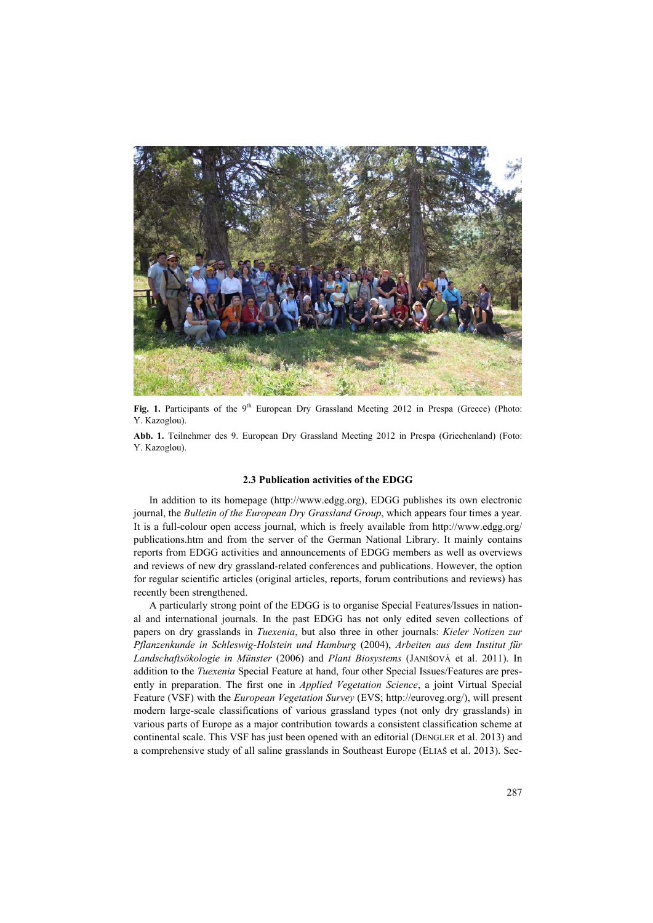

Fig. 1. Participants of the 9<sup>th</sup> European Dry Grassland Meeting 2012 in Prespa (Greece) (Photo: Y. Kazoglou).

**Abb. 1.** Teilnehmer des 9. European Dry Grassland Meeting 2012 in Prespa (Griechenland) (Foto: Y. Kazoglou).

#### **2.3 Publication activities of the EDGG**

In addition to its homepage [\(http://www.edgg.org\)](http://www.edgg.org/), EDGG publishes its own electronic journal, the *Bulletin of the European Dry Grassland Group*, which appears four times a year. It is a full-colour open access journal, which is freely available from [http://www.edgg.org/](http://www.edgg.org/publications.htm)  [publications.htm](http://www.edgg.org/publications.htm) and from the server of the German National Library. It mainly contains reports from EDGG activities and announcements of EDGG members as well as overviews and reviews of new dry grassland-related conferences and publications. However, the option for regular scientific articles (original articles, reports, forum contributions and reviews) has recently been strengthened.

A particularly strong point of the EDGG is to organise Special Features/Issues in national and international journals. In the past EDGG has not only edited seven collections of papers on dry grasslands in *Tuexenia*, but also three in other journals: *Kieler Notizen zur Pflanzenkunde in Schleswig-Holstein und Hamburg* (2004), *Arbeiten aus dem Institut für Landschaftsökologie in Münster* (2006) and *Plant Biosystems* (JANIŠOVÁ et al. 2011). In addition to the *Tuexenia* Special Feature at hand, four other Special Issues/Features are presently in preparation. The first one in *Applied Vegetation Science*, a joint Virtual Special Feature (VSF) with the *European Vegetation Survey* (EVS; [http://euroveg.org/\)](http://euroveg.org/), will present modern large-scale classifications of various grassland types (not only dry grasslands) in various parts of Europe as a major contribution towards a consistent classification scheme at continental scale. This VSF has just been opened with an editorial (DENGLER et al. 2013) and a comprehensive study of all saline grasslands in Southeast Europe (ELIAŠ et al. 2013). Sec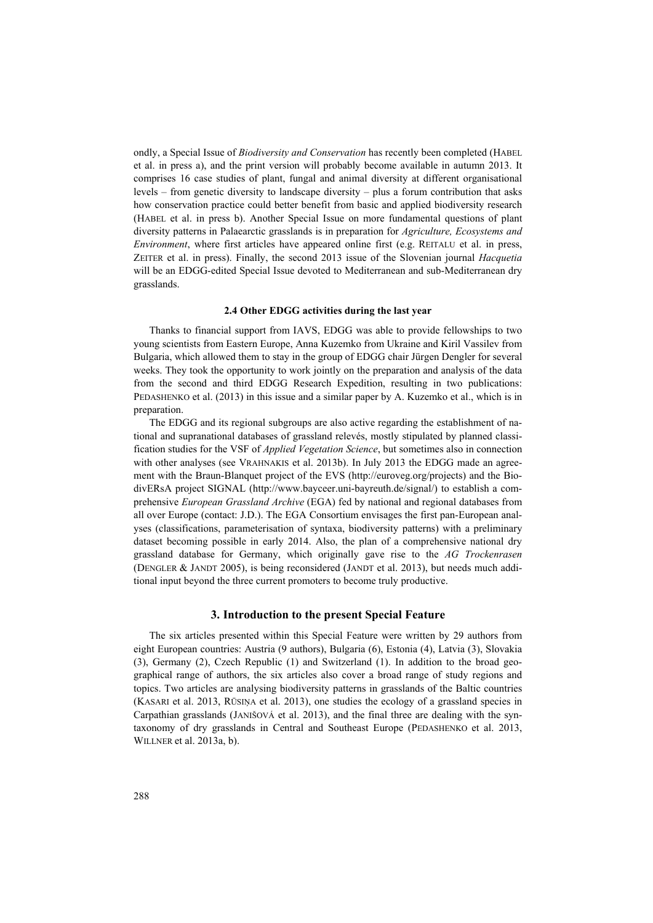ondly, a Special Issue of *Biodiversity and Conservation* has recently been completed (HABEL et al. in press a), and the print version will probably become available in autumn 2013. It comprises 16 case studies of plant, fungal and animal diversity at different organisational levels – from genetic diversity to landscape diversity – plus a forum contribution that asks how conservation practice could better benefit from basic and applied biodiversity research (HABEL et al. in press b). Another Special Issue on more fundamental questions of plant diversity patterns in Palaearctic grasslands is in preparation for *Agriculture, Ecosystems and Environment*, where first articles have appeared online first (e.g. REITALU et al. in press, ZEITER et al. in press). Finally, the second 2013 issue of the Slovenian journal *Hacquetia* will be an EDGG-edited Special Issue devoted to Mediterranean and sub-Mediterranean dry grasslands.

#### **2.4 Other EDGG activities during the last year**

Thanks to financial support from IAVS, EDGG was able to provide fellowships to two young scientists from Eastern Europe, Anna Kuzemko from Ukraine and Kiril Vassilev from Bulgaria, which allowed them to stay in the group of EDGG chair Jürgen Dengler for several weeks. They took the opportunity to work jointly on the preparation and analysis of the data from the second and third EDGG Research Expedition, resulting in two publications: PEDASHENKO et al. (2013) in this issue and a similar paper by A. Kuzemko et al., which is in preparation.

The EDGG and its regional subgroups are also active regarding the establishment of national and supranational databases of grassland relevés, mostly stipulated by planned classification studies for the VSF of *Applied Vegetation Science*, but sometimes also in connection with other analyses (see VRAHNAKIS et al. 2013b). In July 2013 the EDGG made an agreement with the Braun-Blanquet project of the EVS [\(http://euroveg.org/projects\)](http://euroveg.org/projects) and the BiodivERsA project SIGNAL [\(http://www.bayceer.uni-bayreuth.de/signal/\)](http://www.bayceer.uni-bayreuth.de/signal/) to establish a comprehensive *European Grassland Archive* (EGA) fed by national and regional databases from all over Europe (contact: J.D.). The EGA Consortium envisages the first pan-European analyses (classifications, parameterisation of syntaxa, biodiversity patterns) with a preliminary dataset becoming possible in early 2014. Also, the plan of a comprehensive national dry grassland database for Germany, which originally gave rise to the *AG Trockenrasen* (DENGLER & JANDT 2005), is being reconsidered (JANDT et al. 2013), but needs much additional input beyond the three current promoters to become truly productive.

#### **3. Introduction to the present Special Feature**

The six articles presented within this Special Feature were written by 29 authors from eight European countries: Austria (9 authors), Bulgaria (6), Estonia (4), Latvia (3), Slovakia (3), Germany (2), Czech Republic (1) and Switzerland (1). In addition to the broad geographical range of authors, the six articles also cover a broad range of study regions and topics. Two articles are analysing biodiversity patterns in grasslands of the Baltic countries (KASARI et al. 2013, RŪSIŅA et al. 2013), one studies the ecology of a grassland species in Carpathian grasslands (JANIŠOVÁ et al. 2013), and the final three are dealing with the syntaxonomy of dry grasslands in Central and Southeast Europe (PEDASHENKO et al. 2013, WILLNER et al. 2013a, b).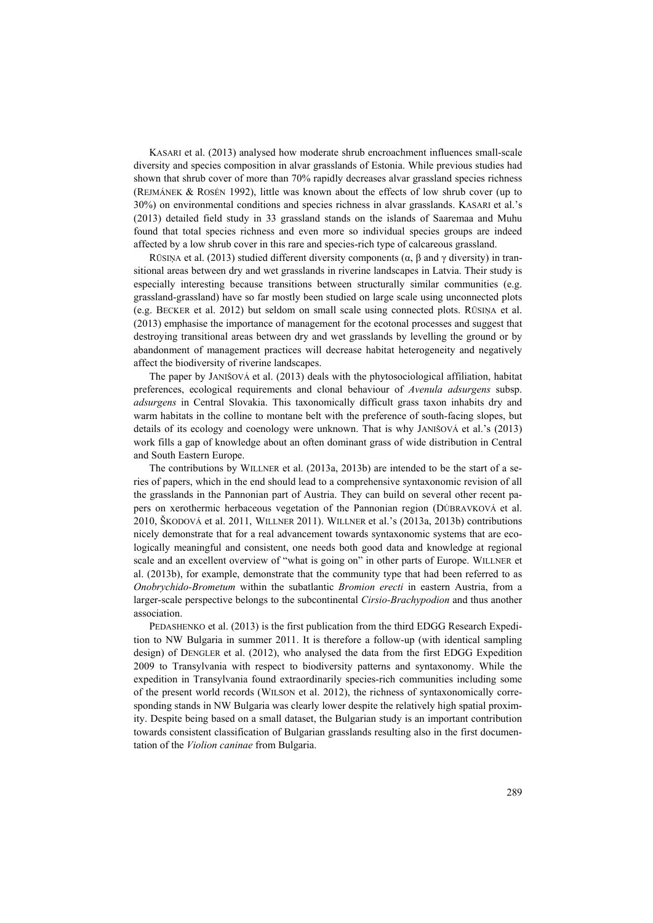KASARI et al. (2013) analysed how moderate shrub encroachment influences small-scale diversity and species composition in alvar grasslands of Estonia. While previous studies had shown that shrub cover of more than 70% rapidly decreases alvar grassland species richness (REJMÁNEK & ROSÉN 1992), little was known about the effects of low shrub cover (up to 30%) on environmental conditions and species richness in alvar grasslands. KASARI et al.'s (2013) detailed field study in 33 grassland stands on the islands of Saaremaa and Muhu found that total species richness and even more so individual species groups are indeed affected by a low shrub cover in this rare and species-rich type of calcareous grassland.

RŪSIŅA et al. (2013) studied different diversity components ( $\alpha$ ,  $\beta$  and  $\gamma$  diversity) in transitional areas between dry and wet grasslands in riverine landscapes in Latvia. Their study is especially interesting because transitions between structurally similar communities (e.g. grassland-grassland) have so far mostly been studied on large scale using unconnected plots (e.g. BECKER et al. 2012) but seldom on small scale using connected plots. RŪSIŅA et al. (2013) emphasise the importance of management for the ecotonal processes and suggest that destroying transitional areas between dry and wet grasslands by levelling the ground or by abandonment of management practices will decrease habitat heterogeneity and negatively affect the biodiversity of riverine landscapes.

The paper by JANIŠOVÁ et al. (2013) deals with the phytosociological affiliation, habitat preferences, ecological requirements and clonal behaviour of *Avenula adsurgens* subsp. *adsurgens* in Central Slovakia. This taxonomically difficult grass taxon inhabits dry and warm habitats in the colline to montane belt with the preference of south-facing slopes, but details of its ecology and coenology were unknown. That is why JANIŠOVÁ et al.'s (2013) work fills a gap of knowledge about an often dominant grass of wide distribution in Central and South Eastern Europe.

The contributions by WILLNER et al. (2013a, 2013b) are intended to be the start of a series of papers, which in the end should lead to a comprehensive syntaxonomic revision of all the grasslands in the Pannonian part of Austria. They can build on several other recent papers on xerothermic herbaceous vegetation of the Pannonian region (DÚBRAVKOVÁ et al. 2010, ŠKODOVÁ et al. 2011, WILLNER 2011). WILLNER et al.'s (2013a, 2013b) contributions nicely demonstrate that for a real advancement towards syntaxonomic systems that are ecologically meaningful and consistent, one needs both good data and knowledge at regional scale and an excellent overview of "what is going on" in other parts of Europe. WILLNER et al. (2013b), for example, demonstrate that the community type that had been referred to as *Onobrychido-Brometum* within the subatlantic *Bromion erecti* in eastern Austria, from a larger-scale perspective belongs to the subcontinental *Cirsio-Brachypodion* and thus another association.

PEDASHENKO et al. (2013) is the first publication from the third EDGG Research Expedition to NW Bulgaria in summer 2011. It is therefore a follow-up (with identical sampling design) of DENGLER et al. (2012), who analysed the data from the first EDGG Expedition 2009 to Transylvania with respect to biodiversity patterns and syntaxonomy. While the expedition in Transylvania found extraordinarily species-rich communities including some of the present world records (WILSON et al. 2012), the richness of syntaxonomically corresponding stands in NW Bulgaria was clearly lower despite the relatively high spatial proximity. Despite being based on a small dataset, the Bulgarian study is an important contribution towards consistent classification of Bulgarian grasslands resulting also in the first documentation of the *Violion caninae* from Bulgaria.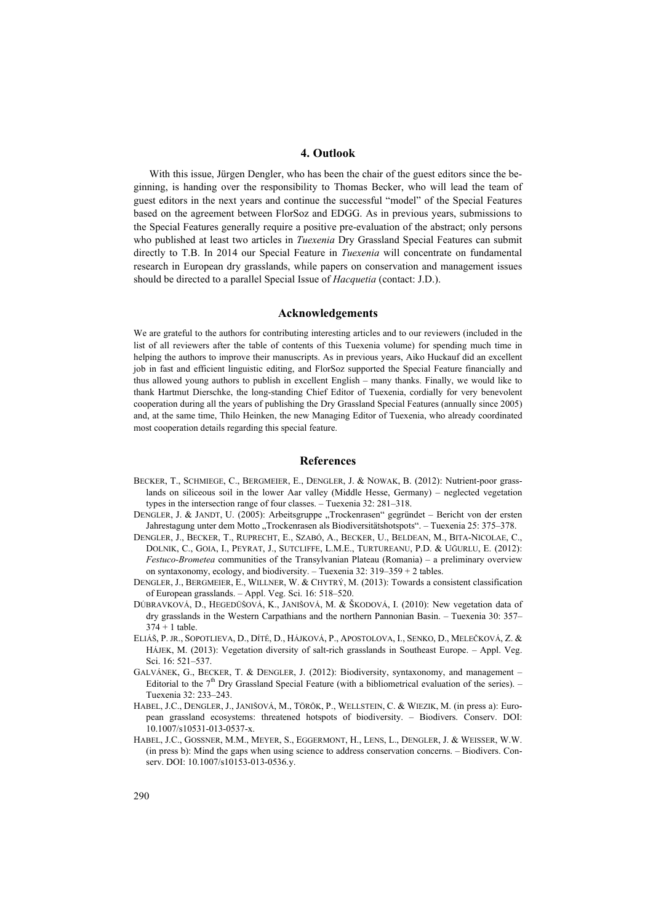## **4. Outlook**

With this issue, Jürgen Dengler, who has been the chair of the guest editors since the beginning, is handing over the responsibility to Thomas Becker, who will lead the team of guest editors in the next years and continue the successful "model" of the Special Features based on the agreement between FlorSoz and EDGG. As in previous years, submissions to the Special Features generally require a positive pre-evaluation of the abstract; only persons who published at least two articles in *Tuexenia* Dry Grassland Special Features can submit directly to T.B. In 2014 our Special Feature in *Tuexenia* will concentrate on fundamental research in European dry grasslands, while papers on conservation and management issues should be directed to a parallel Special Issue of *Hacquetia* (contact: J.D.).

#### **Acknowledgements**

We are grateful to the authors for contributing interesting articles and to our reviewers (included in the list of all reviewers after the table of contents of this Tuexenia volume) for spending much time in helping the authors to improve their manuscripts. As in previous years, Aiko Huckauf did an excellent job in fast and efficient linguistic editing, and FlorSoz supported the Special Feature financially and thus allowed young authors to publish in excellent English – many thanks. Finally, we would like to thank Hartmut Dierschke, the long-standing Chief Editor of Tuexenia, cordially for very benevolent cooperation during all the years of publishing the Dry Grassland Special Features (annually since 2005) and, at the same time, Thilo Heinken, the new Managing Editor of Tuexenia, who already coordinated most cooperation details regarding this special feature.

## **References**

- BECKER, T., SCHMIEGE, C., BERGMEIER, E., DENGLER, J. & NOWAK, B. (2012): Nutrient-poor grasslands on siliceous soil in the lower Aar valley (Middle Hesse, Germany) – neglected vegetation types in the intersection range of four classes. – Tuexenia 32: 281–318.
- DENGLER, J. & JANDT, U. (2005): Arbeitsgruppe "Trockenrasen" gegründet Bericht von der ersten Jahrestagung unter dem Motto "Trockenrasen als Biodiversitätshotspots". – Tuexenia 25: 375–378.
- DENGLER, J., BECKER, T., RUPRECHT, E., SZABÓ, A., BECKER, U., BELDEAN, M., BITA-NICOLAE, C., DOLNIK, C., GOIA, I., PEYRAT, J., SUTCLIFFE, L.M.E., TURTUREANU, P.D. & UĞURLU, E. (2012): *Festuco-Brometea* communities of the Transylvanian Plateau (Romania) – a preliminary overview on syntaxonomy, ecology, and biodiversity. – Tuexenia 32: 319–359 + 2 tables.
- DENGLER, J., BERGMEIER, E., WILLNER, W. & CHYTRÝ, M. (2013): Towards a consistent classification of European grasslands. – Appl. Veg. Sci. 16: 518–520.
- DÚBRAVKOVÁ, D., HEGEDÜŠOVÁ, K., JANIŠOVÁ, M. & ŠKODOVÁ, I. (2010): New vegetation data of dry grasslands in the Western Carpathians and the northern Pannonian Basin. – Tuexenia 30: 357–  $374 + 1$  table.
- ELIÁŠ, P. JR., SOPOTLIEVA, D., DÍTÉ, D., HÁJKOVÁ, P., APOSTOLOVA, I., SENKO, D., MELEČKOVÁ, Z. & HÁJEK, M. (2013): Vegetation diversity of salt-rich grasslands in Southeast Europe. – Appl. Veg. Sci. 16: 521–537.
- GALVÁNEK, G., BECKER, T. & DENGLER, J. (2012): Biodiversity, syntaxonomy, and management Editorial to the  $7<sup>th</sup>$  Dry Grassland Special Feature (with a bibliometrical evaluation of the series). – Tuexenia 32: 233–243.
- HABEL, J.C., DENGLER, J., JANIŠOVÁ, M., TÖRÖK, P., WELLSTEIN, C. & WIEZIK, M. (in press a): European grassland ecosystems: threatened hotspots of biodiversity. – Biodivers. Conserv. DOI: 10.1007/s10531-013-0537-x.
- HABEL, J.C., GOSSNER, M.M., MEYER, S., EGGERMONT, H., LENS, L., DENGLER, J. & WEISSER, W.W. (in press b): Mind the gaps when using science to address conservation concerns. – Biodivers. Conserv. DOI: 10.1007/s10153-013-0536.y.